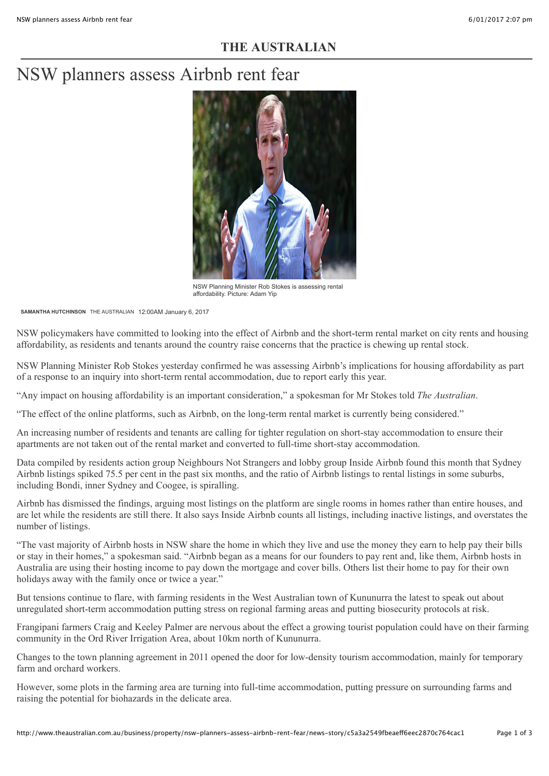## **THE AUSTRALIAN**

# NSW planners assess Airbnb rent fear



NSW Planning Minister Rob Stokes is assessing rental affordability. Picture: Adam Yip

**[SAMANTHA HUTCHINSON](http://www.theaustralian.com.au/author/Samantha+Hutchinson)** THE AUSTRALIAN 12:00AM January 6, 2017

NSW policymakers have committed to looking into the effect of Airbnb and the short-term rental market on city rents and housing affordability, as residents and tenants around the country raise concerns that the practice is chewing up rental stock.

NSW Planning Minister Rob Stokes yesterday confirmed he was assessing Airbnb's implications for housing affordability as part of a response to an inquiry into short-term rental accommodation, due to report early this year.

"Any impact on housing affordability is an important consideration," a spokesman for Mr Stokes told *The Australian*.

"The effect of the online platforms, such as Airbnb, on the long-term rental market is currently being considered."

An increasing number of residents and tenants are calling for tighter regulation on short-stay accommodation to ensure their apartments are not taken out of the rental market and converted to full-time short-stay accommodation.

Data compiled by residents action group Neighbours Not Strangers and lobby group Inside Airbnb found this month that Sydney Airbnb listings spiked 75.5 per cent in the past six months, and the ratio of Airbnb listings to rental listings in some suburbs, including Bondi, inner Sydney and Coogee, is spiralling.

Airbnb has dismissed the findings, arguing most listings on the platform are single rooms in homes rather than entire houses, and are let while the residents are still there. It also says Inside Airbnb counts all listings, including inactive listings, and overstates the number of listings.

"The vast majority of Airbnb hosts in NSW share the home in which they live and use the money they earn to help pay their bills or stay in their homes," a spokesman said. "Airbnb began as a means for our founders to pay rent and, like them, Airbnb hosts in Australia are using their hosting income to pay down the mortgage and cover bills. Others list their home to pay for their own holidays away with the family once or twice a year."

But tensions continue to flare, with farming residents in the West Australian town of Kununurra the latest to speak out about unregulated short-term accommodation putting stress on regional farming areas and putting biosecurity protocols at risk.

Frangipani farmers Craig and Keeley Palmer are nervous about the effect a growing tourist population could have on their farming community in the Ord River Irrigation Area, about 10km north of Kununurra.

Changes to the town planning agreement in 2011 opened the door for low-density tourism accommodation, mainly for temporary farm and orchard workers.

However, some plots in the farming area are turning into full-time accommodation, putting pressure on surrounding farms and raising the potential for biohazards in the delicate area.